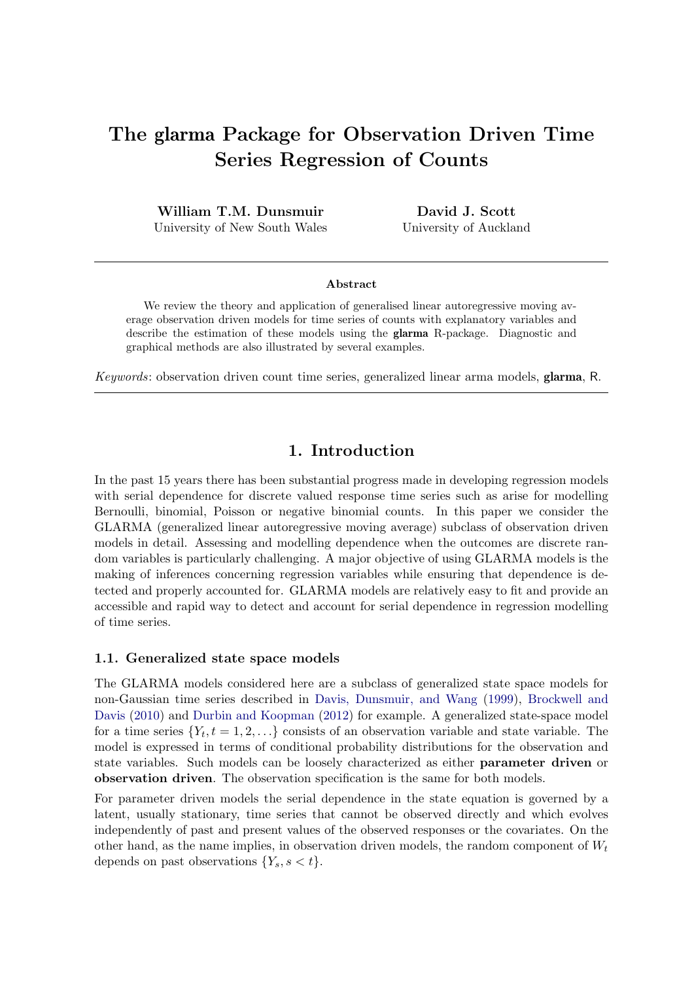# The glarma Package for Observation Driven Time Series Regression of Counts

William T.M. Dunsmuir University of New South Wales

David J. Scott University of Auckland

#### Abstract

We review the theory and application of generalised linear autoregressive moving average observation driven models for time series of counts with explanatory variables and describe the estimation of these models using the glarma R-package. Diagnostic and graphical methods are also illustrated by several examples.

Keywords: observation driven count time series, generalized linear arma models, glarma, R.

# 1. Introduction

In the past 15 years there has been substantial progress made in developing regression models with serial dependence for discrete valued response time series such as arise for modelling Bernoulli, binomial, Poisson or negative binomial counts. In this paper we consider the GLARMA (generalized linear autoregressive moving average) subclass of observation driven models in detail. Assessing and modelling dependence when the outcomes are discrete random variables is particularly challenging. A major objective of using GLARMA models is the making of inferences concerning regression variables while ensuring that dependence is detected and properly accounted for. GLARMA models are relatively easy to fit and provide an accessible and rapid way to detect and account for serial dependence in regression modelling of time series.

#### 1.1. Generalized state space models

The GLARMA models considered here are a subclass of generalized state space models for non-Gaussian time series described in [Davis, Dunsmuir, and Wang](#page-20-0) [\(1999\)](#page-20-0), [Brockwell and](#page-20-1) [Davis](#page-20-1) [\(2010\)](#page-20-1) and [Durbin and Koopman](#page-20-2) [\(2012\)](#page-20-2) for example. A generalized state-space model for a time series  $\{Y_t, t = 1, 2, \ldots\}$  consists of an observation variable and state variable. The model is expressed in terms of conditional probability distributions for the observation and state variables. Such models can be loosely characterized as either parameter driven or observation driven. The observation specification is the same for both models.

For parameter driven models the serial dependence in the state equation is governed by a latent, usually stationary, time series that cannot be observed directly and which evolves independently of past and present values of the observed responses or the covariates. On the other hand, as the name implies, in observation driven models, the random component of  $W_t$ depends on past observations  ${Y_s, s < t}$ .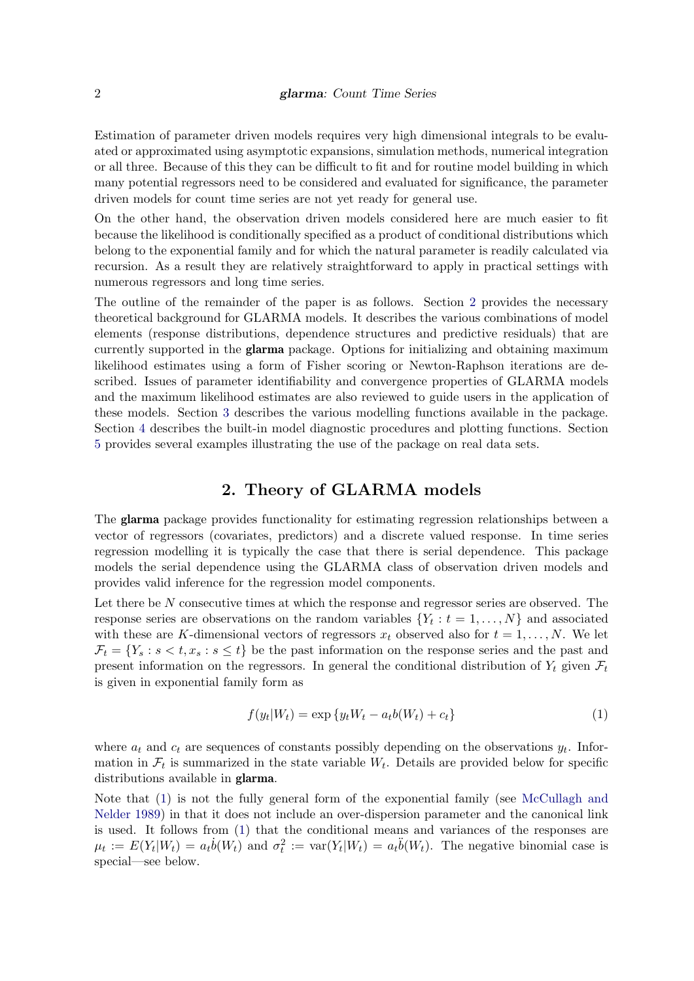Estimation of parameter driven models requires very high dimensional integrals to be evaluated or approximated using asymptotic expansions, simulation methods, numerical integration or all three. Because of this they can be difficult to fit and for routine model building in which many potential regressors need to be considered and evaluated for significance, the parameter driven models for count time series are not yet ready for general use.

On the other hand, the observation driven models considered here are much easier to fit because the likelihood is conditionally specified as a product of conditional distributions which belong to the exponential family and for which the natural parameter is readily calculated via recursion. As a result they are relatively straightforward to apply in practical settings with numerous regressors and long time series.

The outline of the remainder of the paper is as follows. Section [2](#page-1-0) provides the necessary theoretical background for GLARMA models. It describes the various combinations of model elements (response distributions, dependence structures and predictive residuals) that are currently supported in the glarma package. Options for initializing and obtaining maximum likelihood estimates using a form of Fisher scoring or Newton-Raphson iterations are described. Issues of parameter identifiability and convergence properties of GLARMA models and the maximum likelihood estimates are also reviewed to guide users in the application of these models. Section [3](#page-8-0) describes the various modelling functions available in the package. Section [4](#page-9-0) describes the built-in model diagnostic procedures and plotting functions. Section [5](#page-11-0) provides several examples illustrating the use of the package on real data sets.

# 2. Theory of GLARMA models

<span id="page-1-0"></span>The glarma package provides functionality for estimating regression relationships between a vector of regressors (covariates, predictors) and a discrete valued response. In time series regression modelling it is typically the case that there is serial dependence. This package models the serial dependence using the GLARMA class of observation driven models and provides valid inference for the regression model components.

Let there be N consecutive times at which the response and regressor series are observed. The response series are observations on the random variables  $\{Y_t : t = 1, \ldots, N\}$  and associated with these are K-dimensional vectors of regressors  $x_t$  observed also for  $t = 1, \ldots, N$ . We let  $\mathcal{F}_t = \{Y_s : s < t, x_s : s \leq t\}$  be the past information on the response series and the past and present information on the regressors. In general the conditional distribution of  $Y_t$  given  $\mathcal{F}_t$ is given in exponential family form as

<span id="page-1-1"></span>
$$
f(y_t|W_t) = \exp\{y_t W_t - a_t b(W_t) + c_t\}
$$
\n(1)

where  $a_t$  and  $c_t$  are sequences of constants possibly depending on the observations  $y_t$ . Information in  $\mathcal{F}_t$  is summarized in the state variable  $W_t$ . Details are provided below for specific distributions available in glarma.

Note that [\(1\)](#page-1-1) is not the fully general form of the exponential family (see [McCullagh and](#page-20-3) [Nelder](#page-20-3) [1989\)](#page-20-3) in that it does not include an over-dispersion parameter and the canonical link is used. It follows from [\(1\)](#page-1-1) that the conditional means and variances of the responses are  $\mu_t := E(Y_t|W_t) = a_t \dot{b}(W_t)$  and  $\sigma_t^2 := \text{var}(Y_t|W_t) = a_t \ddot{b}(W_t)$ . The negative binomial case is special—see below.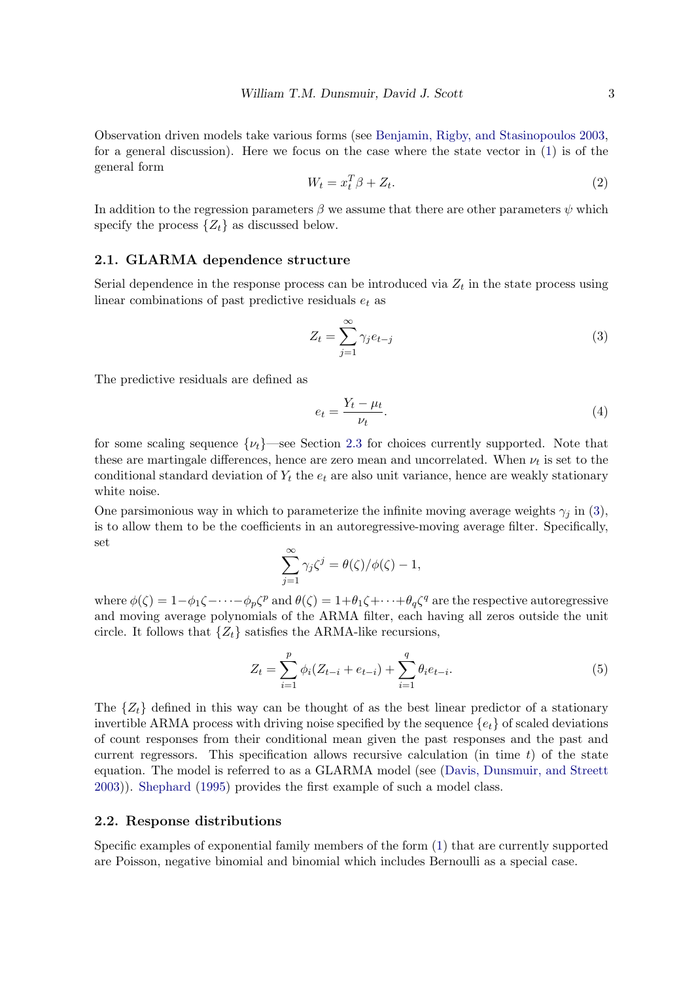<span id="page-2-3"></span>Observation driven models take various forms (see [Benjamin, Rigby, and Stasinopoulos](#page-20-4) [2003,](#page-20-4) for a general discussion). Here we focus on the case where the state vector in [\(1\)](#page-1-1) is of the general form

$$
W_t = x_t^T \beta + Z_t. \tag{2}
$$

In addition to the regression parameters  $\beta$  we assume that there are other parameters  $\psi$  which specify the process  $\{Z_t\}$  as discussed below.

# 2.1. GLARMA dependence structure

Serial dependence in the response process can be introduced via  $Z_t$  in the state process using linear combinations of past predictive residuals  $e_t$  as

<span id="page-2-0"></span>
$$
Z_t = \sum_{j=1}^{\infty} \gamma_j e_{t-j} \tag{3}
$$

The predictive residuals are defined as

<span id="page-2-1"></span>
$$
e_t = \frac{Y_t - \mu_t}{\nu_t}.\tag{4}
$$

for some scaling sequence  $\{\nu_t\}$ —see Section [2.3](#page-3-0) for choices currently supported. Note that these are martingale differences, hence are zero mean and uncorrelated. When  $\nu_t$  is set to the conditional standard deviation of  $Y_t$  the  $e_t$  are also unit variance, hence are weakly stationary white noise.

<span id="page-2-2"></span>One parsimonious way in which to parameterize the infinite moving average weights  $\gamma_i$  in [\(3\)](#page-2-0), is to allow them to be the coefficients in an autoregressive-moving average filter. Specifically, set

$$
\sum_{j=1}^{\infty} \gamma_j \zeta^j = \theta(\zeta) / \phi(\zeta) - 1,
$$

where  $\phi(\zeta) = 1 - \phi_1 \zeta - \cdots - \phi_p \zeta^p$  and  $\theta(\zeta) = 1 + \theta_1 \zeta + \cdots + \theta_q \zeta^q$  are the respective autoregressive and moving average polynomials of the ARMA filter, each having all zeros outside the unit circle. It follows that  $\{Z_t\}$  satisfies the ARMA-like recursions,

$$
Z_t = \sum_{i=1}^p \phi_i (Z_{t-i} + e_{t-i}) + \sum_{i=1}^q \theta_i e_{t-i}.
$$
 (5)

The  $\{Z_t\}$  defined in this way can be thought of as the best linear predictor of a stationary invertible ARMA process with driving noise specified by the sequence  $\{e_t\}$  of scaled deviations of count responses from their conditional mean given the past responses and the past and current regressors. This specification allows recursive calculation (in time  $t$ ) of the state equation. The model is referred to as a GLARMA model (see [\(Davis, Dunsmuir, and Streett](#page-20-5) [2003\)](#page-20-5)). [Shephard](#page-20-6) [\(1995\)](#page-20-6) provides the first example of such a model class.

## 2.2. Response distributions

Specific examples of exponential family members of the form [\(1\)](#page-1-1) that are currently supported are Poisson, negative binomial and binomial which includes Bernoulli as a special case.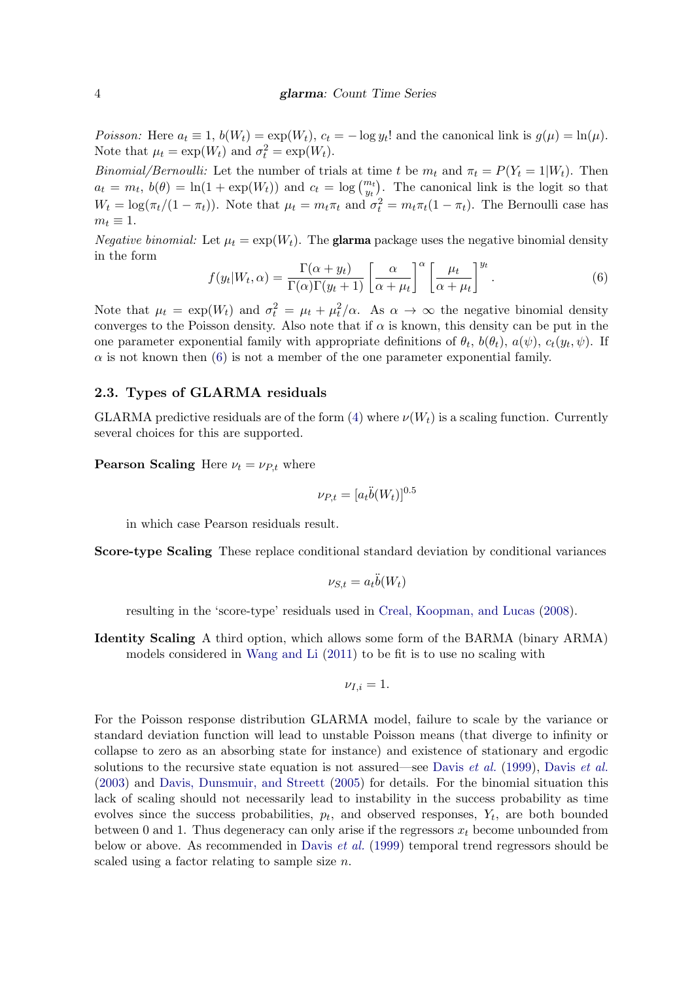Poisson: Here  $a_t \equiv 1$ ,  $b(W_t) = \exp(W_t)$ ,  $c_t = -\log y_t!$  and the canonical link is  $g(\mu) = \ln(\mu)$ . Note that  $\mu_t = \exp(W_t)$  and  $\sigma_t^2 = \exp(W_t)$ .

Binomial/Bernoulli: Let the number of trials at time t be  $m_t$  and  $\pi_t = P(Y_t = 1|W_t)$ . Then  $a_t = m_t$ ,  $b(\theta) = \ln(1 + \exp(W_t))$  and  $c_t = \log \binom{m_t}{y_t}$ . The canonical link is the logit so that  $W_t = \log(\pi_t/(1 - \pi_t))$ . Note that  $\mu_t = m_t \pi_t$  and  $\sigma_t^2 = m_t \pi_t (1 - \pi_t)$ . The Bernoulli case has  $m_t \equiv 1$ .

*Negative binomial:* Let  $\mu_t = \exp(W_t)$ . The **glarma** package uses the negative binomial density in the form

<span id="page-3-1"></span>
$$
f(y_t|W_t,\alpha) = \frac{\Gamma(\alpha + y_t)}{\Gamma(\alpha)\Gamma(y_t+1)} \left[\frac{\alpha}{\alpha + \mu_t}\right]^\alpha \left[\frac{\mu_t}{\alpha + \mu_t}\right]^{y_t}.
$$
 (6)

Note that  $\mu_t = \exp(W_t)$  and  $\sigma_t^2 = \mu_t + \mu_t^2/\alpha$ . As  $\alpha \to \infty$  the negative binomial density converges to the Poisson density. Also note that if  $\alpha$  is known, this density can be put in the one parameter exponential family with appropriate definitions of  $\theta_t$ ,  $b(\theta_t)$ ,  $a(\psi)$ ,  $c_t(y_t, \psi)$ . If  $\alpha$  is not known then [\(6\)](#page-3-1) is not a member of the one parameter exponential family.

### <span id="page-3-0"></span>2.3. Types of GLARMA residuals

GLARMA predictive residuals are of the form [\(4\)](#page-2-1) where  $\nu(W_t)$  is a scaling function. Currently several choices for this are supported.

**Pearson Scaling** Here  $\nu_t = \nu_{P,t}$  where

$$
\nu_{P,t} = [a_t \ddot{b}(W_t)]^{0.5}
$$

in which case Pearson residuals result.

Score-type Scaling These replace conditional standard deviation by conditional variances

$$
\nu_{S,t} = a_t \ddot{b}(W_t)
$$

resulting in the 'score-type' residuals used in [Creal, Koopman, and Lucas](#page-20-7) [\(2008\)](#page-20-7).

Identity Scaling A third option, which allows some form of the BARMA (binary ARMA) models considered in [Wang and Li](#page-21-0) [\(2011\)](#page-21-0) to be fit is to use no scaling with

$$
\nu_{I,i}=1.
$$

For the Poisson response distribution GLARMA model, failure to scale by the variance or standard deviation function will lead to unstable Poisson means (that diverge to infinity or collapse to zero as an absorbing state for instance) and existence of stationary and ergodic solutions to the recursive state equation is not assured—see [Davis](#page-20-5) *et al.* [\(1999\)](#page-20-0), Davis *et al.* [\(2003\)](#page-20-5) and [Davis, Dunsmuir, and Streett](#page-20-8) [\(2005\)](#page-20-8) for details. For the binomial situation this lack of scaling should not necessarily lead to instability in the success probability as time evolves since the success probabilities,  $p_t$ , and observed responses,  $Y_t$ , are both bounded between 0 and 1. Thus degeneracy can only arise if the regressors  $x_t$  become unbounded from below or above. As recommended in [Davis](#page-20-0) et al. [\(1999\)](#page-20-0) temporal trend regressors should be scaled using a factor relating to sample size n.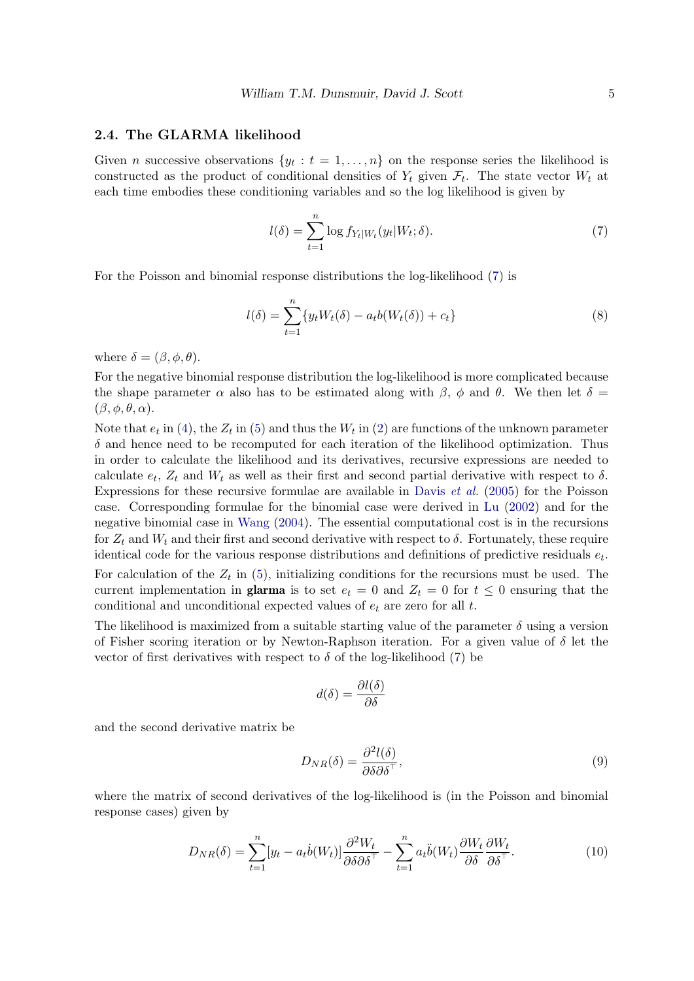## 2.4. The GLARMA likelihood

Given *n* successive observations  $\{y_t : t = 1, \ldots, n\}$  on the response series the likelihood is constructed as the product of conditional densities of  $Y_t$  given  $\mathcal{F}_t$ . The state vector  $W_t$  at each time embodies these conditioning variables and so the log likelihood is given by

<span id="page-4-0"></span>
$$
l(\delta) = \sum_{t=1}^{n} \log f_{Y_t|W_t}(y_t|W_t;\delta).
$$
\n(7)

For the Poisson and binomial response distributions the log-likelihood [\(7\)](#page-4-0) is

$$
l(\delta) = \sum_{t=1}^{n} \{ y_t W_t(\delta) - a_t b(W_t(\delta)) + c_t \}
$$
\n(8)

where  $\delta = (\beta, \phi, \theta)$ .

For the negative binomial response distribution the log-likelihood is more complicated because the shape parameter  $\alpha$  also has to be estimated along with  $\beta$ ,  $\phi$  and  $\theta$ . We then let  $\delta =$  $(\beta, \phi, \theta, \alpha).$ 

Note that  $e_t$  in [\(4\)](#page-2-1), the  $Z_t$  in [\(5\)](#page-2-2) and thus the  $W_t$  in [\(2\)](#page-2-3) are functions of the unknown parameter  $\delta$  and hence need to be recomputed for each iteration of the likelihood optimization. Thus in order to calculate the likelihood and its derivatives, recursive expressions are needed to calculate  $e_t$ ,  $Z_t$  and  $W_t$  as well as their first and second partial derivative with respect to  $\delta$ . Expressions for these recursive formulae are available in [Davis](#page-20-8) et al. [\(2005\)](#page-20-8) for the Poisson case. Corresponding formulae for the binomial case were derived in [Lu](#page-20-9) [\(2002\)](#page-20-9) and for the negative binomial case in [Wang](#page-21-1) [\(2004\)](#page-21-1). The essential computational cost is in the recursions for  $Z_t$  and  $W_t$  and their first and second derivative with respect to  $\delta$ . Fortunately, these require identical code for the various response distributions and definitions of predictive residuals  $e_t$ . For calculation of the  $Z_t$  in [\(5\)](#page-2-2), initializing conditions for the recursions must be used. The current implementation in **glarma** is to set  $e_t = 0$  and  $Z_t = 0$  for  $t \leq 0$  ensuring that the conditional and unconditional expected values of  $e_t$  are zero for all  $t$ .

The likelihood is maximized from a suitable starting value of the parameter  $\delta$  using a version of Fisher scoring iteration or by Newton-Raphson iteration. For a given value of  $\delta$  let the vector of first derivatives with respect to  $\delta$  of the log-likelihood [\(7\)](#page-4-0) be

$$
d(\delta) = \frac{\partial l(\delta)}{\partial \delta}
$$

and the second derivative matrix be

$$
D_{NR}(\delta) = \frac{\partial^2 l(\delta)}{\partial \delta \partial \delta^{\top}},\tag{9}
$$

where the matrix of second derivatives of the log-likelihood is (in the Poisson and binomial response cases) given by

<span id="page-4-1"></span>
$$
D_{NR}(\delta) = \sum_{t=1}^{n} [y_t - a_t \dot{b}(W_t)] \frac{\partial^2 W_t}{\partial \delta \partial \delta^\top} - \sum_{t=1}^{n} a_t \ddot{b}(W_t) \frac{\partial W_t}{\partial \delta} \frac{\partial W_t}{\partial \delta^\top}.
$$
(10)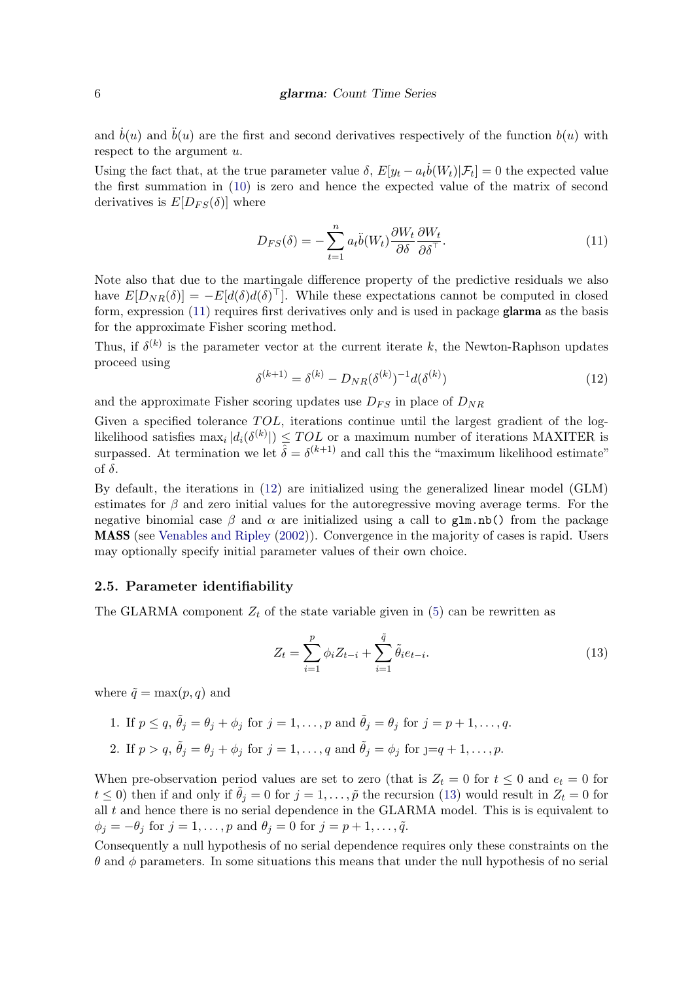and  $\dot{b}(u)$  and  $\ddot{b}(u)$  are the first and second derivatives respectively of the function  $b(u)$  with respect to the argument  $u$ .

Using the fact that, at the true parameter value  $\delta$ ,  $E[y_t - a_t \dot{b}(W_t)|\mathcal{F}_t] = 0$  the expected value the first summation in [\(10\)](#page-4-1) is zero and hence the expected value of the matrix of second derivatives is  $E[D_{FS}(\delta)]$  where

<span id="page-5-0"></span>
$$
D_{FS}(\delta) = -\sum_{t=1}^{n} a_t \ddot{\delta}(W_t) \frac{\partial W_t}{\partial \delta} \frac{\partial W_t}{\partial \delta^{\top}}.
$$
\n(11)

Note also that due to the martingale difference property of the predictive residuals we also have  $E[D_{NR}(\delta)]= -E[d(\delta)d(\delta)^{\top}]$ . While these expectations cannot be computed in closed form, expression [\(11\)](#page-5-0) requires first derivatives only and is used in package glarma as the basis for the approximate Fisher scoring method.

<span id="page-5-1"></span>Thus, if  $\delta^{(k)}$  is the parameter vector at the current iterate k, the Newton-Raphson updates proceed using

$$
\delta^{(k+1)} = \delta^{(k)} - D_{NR}(\delta^{(k)})^{-1} d(\delta^{(k)}) \tag{12}
$$

and the approximate Fisher scoring updates use  $D_{FS}$  in place of  $D_{NR}$ 

Given a specified tolerance  $TOL$ , iterations continue until the largest gradient of the loglikelihood satisfies  $\max_i |d_i(\delta^{(k)}|) \leq TOL$  or a maximum number of iterations MAXITER is surpassed. At termination we let  $\hat{\delta} = \delta^{(k+1)}$  and call this the "maximum likelihood estimate" of δ.

By default, the iterations in [\(12\)](#page-5-1) are initialized using the generalized linear model (GLM) estimates for  $\beta$  and zero initial values for the autoregressive moving average terms. For the negative binomial case  $\beta$  and  $\alpha$  are initialized using a call to glm.nb() from the package MASS (see [Venables and Ripley](#page-21-2) [\(2002\)](#page-21-2)). Convergence in the majority of cases is rapid. Users may optionally specify initial parameter values of their own choice.

### <span id="page-5-3"></span>2.5. Parameter identifiability

The GLARMA component  $Z_t$  of the state variable given in [\(5\)](#page-2-2) can be rewritten as

<span id="page-5-2"></span>
$$
Z_t = \sum_{i=1}^p \phi_i Z_{t-i} + \sum_{i=1}^{\tilde{q}} \tilde{\theta}_i e_{t-i}.
$$
 (13)

where  $\tilde{q} = \max(p, q)$  and

1. If  $p \le q$ ,  $\tilde{\theta}_j = \theta_j + \phi_j$  for  $j = 1, \ldots, p$  and  $\tilde{\theta}_j = \theta_j$  for  $j = p + 1, \ldots, q$ . 2. If  $p > q$ ,  $\tilde{\theta}_j = \theta_j + \phi_j$  for  $j = 1, \ldots, q$  and  $\tilde{\theta}_j = \phi_j$  for  $j = q + 1, \ldots, p$ .

When pre-observation period values are set to zero (that is  $Z_t = 0$  for  $t \leq 0$  and  $e_t = 0$  for  $t \leq 0$ ) then if and only if  $\theta_j = 0$  for  $j = 1, \ldots, \tilde{p}$  the recursion [\(13\)](#page-5-2) would result in  $Z_t = 0$  for all  $t$  and hence there is no serial dependence in the GLARMA model. This is is equivalent to  $\phi_j = -\theta_j$  for  $j = 1, \ldots, p$  and  $\theta_j = 0$  for  $j = p + 1, \ldots, \tilde{q}$ .

Consequently a null hypothesis of no serial dependence requires only these constraints on the  $\theta$  and  $\phi$  parameters. In some situations this means that under the null hypothesis of no serial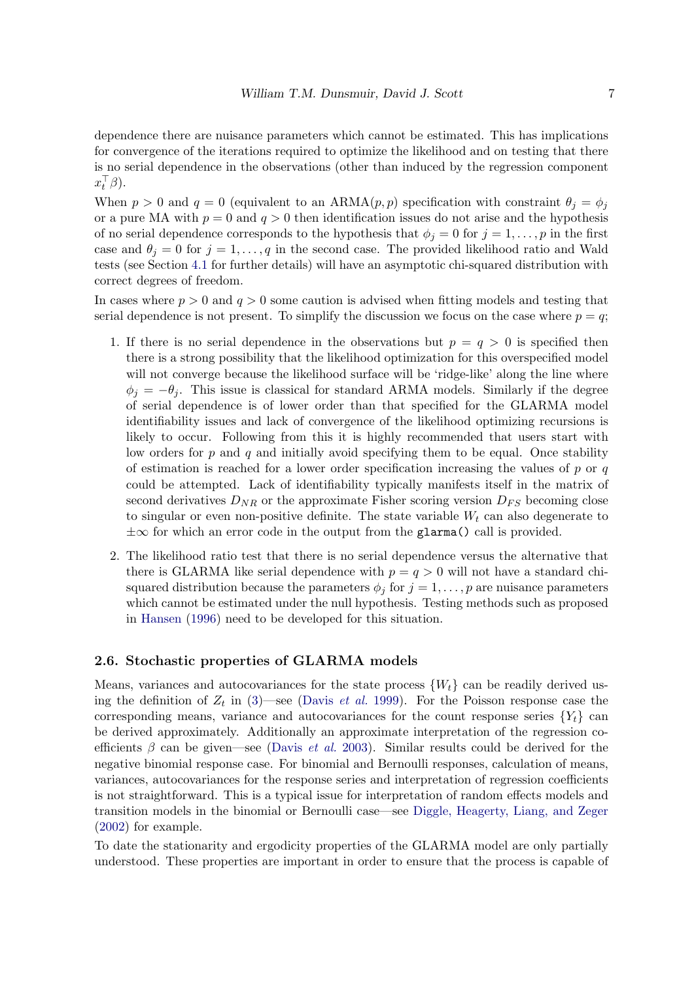dependence there are nuisance parameters which cannot be estimated. This has implications for convergence of the iterations required to optimize the likelihood and on testing that there is no serial dependence in the observations (other than induced by the regression component  $x_t^\top \beta$ ).

When  $p > 0$  and  $q = 0$  (equivalent to an ARMA $(p, p)$  specification with constraint  $\theta_j = \phi_j$ or a pure MA with  $p = 0$  and  $q > 0$  then identification issues do not arise and the hypothesis of no serial dependence corresponds to the hypothesis that  $\phi_j = 0$  for  $j = 1, \ldots, p$  in the first case and  $\theta_i = 0$  for  $j = 1, \ldots, q$  in the second case. The provided likelihood ratio and Wald tests (see Section [4.1](#page-9-1) for further details) will have an asymptotic chi-squared distribution with correct degrees of freedom.

In cases where  $p > 0$  and  $q > 0$  some caution is advised when fitting models and testing that serial dependence is not present. To simplify the discussion we focus on the case where  $p = q$ ;

- 1. If there is no serial dependence in the observations but  $p = q > 0$  is specified then there is a strong possibility that the likelihood optimization for this overspecified model will not converge because the likelihood surface will be 'ridge-like' along the line where  $\phi_i = -\theta_i$ . This issue is classical for standard ARMA models. Similarly if the degree of serial dependence is of lower order than that specified for the GLARMA model identifiability issues and lack of convergence of the likelihood optimizing recursions is likely to occur. Following from this it is highly recommended that users start with low orders for  $p$  and  $q$  and initially avoid specifying them to be equal. Once stability of estimation is reached for a lower order specification increasing the values of  $p$  or  $q$ could be attempted. Lack of identifiability typically manifests itself in the matrix of second derivatives  $D_{NR}$  or the approximate Fisher scoring version  $D_{FS}$  becoming close to singular or even non-positive definite. The state variable  $W_t$  can also degenerate to  $\pm\infty$  for which an error code in the output from the glarma() call is provided.
- 2. The likelihood ratio test that there is no serial dependence versus the alternative that there is GLARMA like serial dependence with  $p = q > 0$  will not have a standard chisquared distribution because the parameters  $\phi_j$  for  $j = 1, \ldots, p$  are nuisance parameters which cannot be estimated under the null hypothesis. Testing methods such as proposed in [Hansen](#page-20-10) [\(1996\)](#page-20-10) need to be developed for this situation.

### 2.6. Stochastic properties of GLARMA models

Means, variances and autocovariances for the state process  $\{W_t\}$  can be readily derived using the definition of  $Z_t$  in [\(3\)](#page-2-0)—see [\(Davis](#page-20-0) *et al.* [1999\)](#page-20-0). For the Poisson response case the corresponding means, variance and autocovariances for the count response series  ${Y_t}$  can be derived approximately. Additionally an approximate interpretation of the regression coefficients  $\beta$  can be given—see [\(Davis](#page-20-5) *et al.* [2003\)](#page-20-5). Similar results could be derived for the negative binomial response case. For binomial and Bernoulli responses, calculation of means, variances, autocovariances for the response series and interpretation of regression coefficients is not straightforward. This is a typical issue for interpretation of random effects models and transition models in the binomial or Bernoulli case—see [Diggle, Heagerty, Liang, and Zeger](#page-20-11) [\(2002\)](#page-20-11) for example.

To date the stationarity and ergodicity properties of the GLARMA model are only partially understood. These properties are important in order to ensure that the process is capable of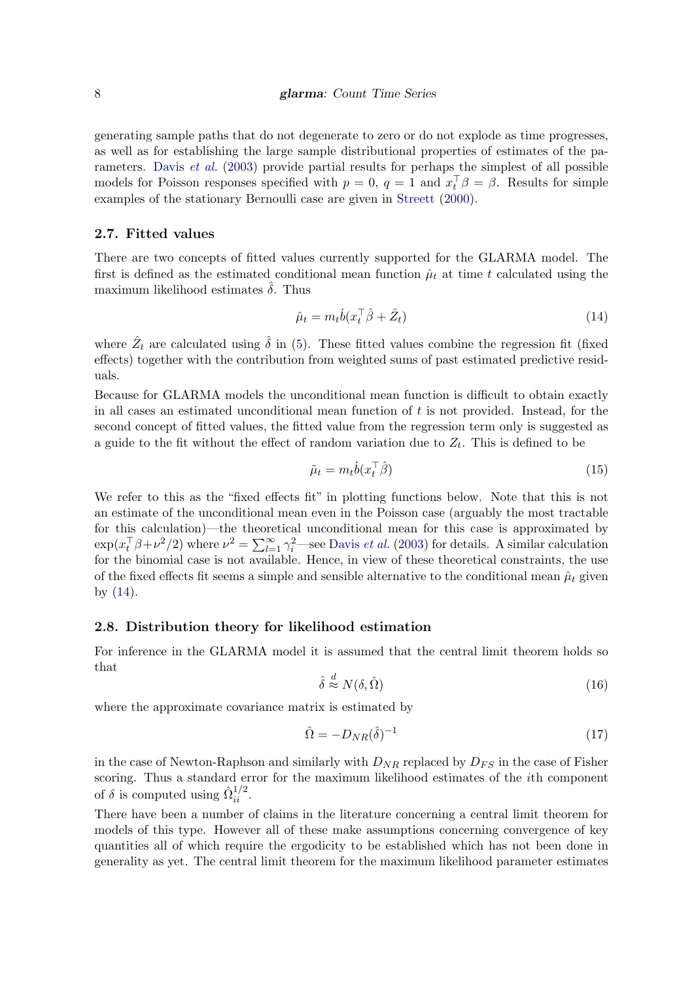generating sample paths that do not degenerate to zero or do not explode as time progresses, as well as for establishing the large sample distributional properties of estimates of the parameters. [Davis](#page-20-5) et al. [\(2003\)](#page-20-5) provide partial results for perhaps the simplest of all possible models for Poisson responses specified with  $p = 0$ ,  $q = 1$  and  $x_t^{\top} \beta = \beta$ . Results for simple examples of the stationary Bernoulli case are given in [Streett](#page-21-3) [\(2000\)](#page-21-3).

### 2.7. Fitted values

There are two concepts of fitted values currently supported for the GLARMA model. The first is defined as the estimated conditional mean function  $\hat{\mu}_t$  at time t calculated using the maximum likelihood estimates  $\hat{\delta}$ . Thus

<span id="page-7-0"></span>
$$
\hat{\mu}_t = m_t \dot{b} (x_t^\top \hat{\beta} + \hat{Z}_t) \tag{14}
$$

where  $\hat{Z}_t$  are calculated using  $\hat{\delta}$  in [\(5\)](#page-2-2). These fitted values combine the regression fit (fixed effects) together with the contribution from weighted sums of past estimated predictive residuals.

Because for GLARMA models the unconditional mean function is difficult to obtain exactly in all cases an estimated unconditional mean function of  $t$  is not provided. Instead, for the second concept of fitted values, the fitted value from the regression term only is suggested as a guide to the fit without the effect of random variation due to  $Z_t$ . This is defined to be

$$
\tilde{\mu}_t = m_t \dot{b}(x_t^\top \hat{\beta}) \tag{15}
$$

We refer to this as the "fixed effects fit" in plotting functions below. Note that this is not an estimate of the unconditional mean even in the Poisson case (arguably the most tractable for this calculation)—the theoretical unconditional mean for this case is approximated by  $\exp(x_t^{\top}\beta + \nu^2/2)$  where  $\nu^2 = \sum_{l=1}^{\infty} \gamma_l^2$ —see [Davis](#page-20-5) *et al.* [\(2003\)](#page-20-5) for details. A similar calculation for the binomial case is not available. Hence, in view of these theoretical constraints, the use of the fixed effects fit seems a simple and sensible alternative to the conditional mean  $\hat{\mu}_t$  given by [\(14\)](#page-7-0).

#### 2.8. Distribution theory for likelihood estimation

For inference in the GLARMA model it is assumed that the central limit theorem holds so that

<span id="page-7-1"></span>
$$
\hat{\delta} \stackrel{d}{\approx} N(\delta, \hat{\Omega}) \tag{16}
$$

where the approximate covariance matrix is estimated by

$$
\hat{\Omega} = -D_{NR}(\hat{\delta})^{-1} \tag{17}
$$

in the case of Newton-Raphson and similarly with  $D_{NR}$  replaced by  $D_{FS}$  in the case of Fisher scoring. Thus a standard error for the maximum likelihood estimates of the ith component of  $\delta$  is computed using  $\hat{\Omega}_{ii}^{1/2}$ .

There have been a number of claims in the literature concerning a central limit theorem for models of this type. However all of these make assumptions concerning convergence of key quantities all of which require the ergodicity to be established which has not been done in generality as yet. The central limit theorem for the maximum likelihood parameter estimates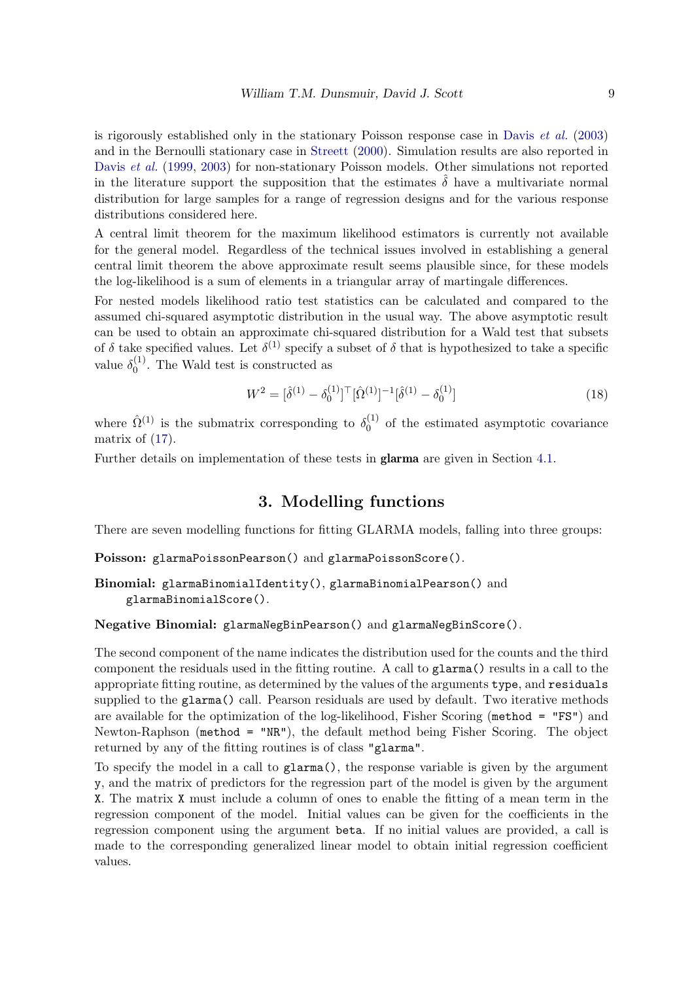is rigorously established only in the stationary Poisson response case in [Davis](#page-20-5)  $et \ al.$  [\(2003\)](#page-20-5) and in the Bernoulli stationary case in [Streett](#page-21-3) [\(2000\)](#page-21-3). Simulation results are also reported in [Davis](#page-20-0) et al. [\(1999,](#page-20-0) [2003\)](#page-20-5) for non-stationary Poisson models. Other simulations not reported in the literature support the supposition that the estimates  $\delta$  have a multivariate normal distribution for large samples for a range of regression designs and for the various response distributions considered here.

A central limit theorem for the maximum likelihood estimators is currently not available for the general model. Regardless of the technical issues involved in establishing a general central limit theorem the above approximate result seems plausible since, for these models the log-likelihood is a sum of elements in a triangular array of martingale differences.

For nested models likelihood ratio test statistics can be calculated and compared to the assumed chi-squared asymptotic distribution in the usual way. The above asymptotic result can be used to obtain an approximate chi-squared distribution for a Wald test that subsets of  $\delta$  take specified values. Let  $\delta^{(1)}$  specify a subset of  $\delta$  that is hypothesized to take a specific value  $\delta_0^{(1)}$  $_0^{(1)}$ . The Wald test is constructed as

<span id="page-8-1"></span>
$$
W^{2} = [\hat{\delta}^{(1)} - \delta_0^{(1)}]^\top [\hat{\Omega}^{(1)}]^{-1} [\hat{\delta}^{(1)} - \delta_0^{(1)}]
$$
\n(18)

where  $\hat{\Omega}^{(1)}$  is the submatrix corresponding to  $\delta_0^{(1)}$  $_0^{(1)}$  of the estimated asymptotic covariance matrix of [\(17\)](#page-7-1).

Further details on implementation of these tests in glarma are given in Section [4.1.](#page-9-1)

# 3. Modelling functions

<span id="page-8-0"></span>There are seven modelling functions for fitting GLARMA models, falling into three groups:

Poisson: glarmaPoissonPearson() and glarmaPoissonScore().

```
Binomial: glarmaBinomialIdentity(), glarmaBinomialPearson() and
    glarmaBinomialScore().
```
Negative Binomial: glarmaNegBinPearson() and glarmaNegBinScore().

The second component of the name indicates the distribution used for the counts and the third component the residuals used in the fitting routine. A call to glarma() results in a call to the appropriate fitting routine, as determined by the values of the arguments type, and residuals supplied to the glarma() call. Pearson residuals are used by default. Two iterative methods are available for the optimization of the log-likelihood, Fisher Scoring (method = "FS") and Newton-Raphson (method = "NR"), the default method being Fisher Scoring. The object returned by any of the fitting routines is of class "glarma".

To specify the model in a call to glarma(), the response variable is given by the argument y, and the matrix of predictors for the regression part of the model is given by the argument X. The matrix X must include a column of ones to enable the fitting of a mean term in the regression component of the model. Initial values can be given for the coefficients in the regression component using the argument beta. If no initial values are provided, a call is made to the corresponding generalized linear model to obtain initial regression coefficient values.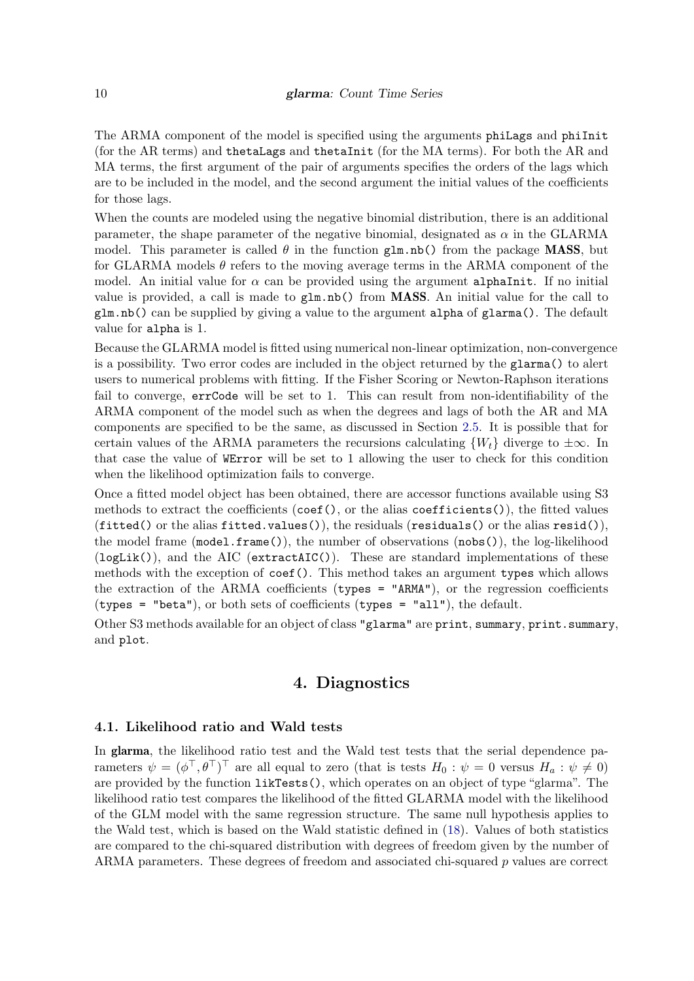The ARMA component of the model is specified using the arguments phiLags and phiInit (for the AR terms) and thetaLags and thetaInit (for the MA terms). For both the AR and MA terms, the first argument of the pair of arguments specifies the orders of the lags which are to be included in the model, and the second argument the initial values of the coefficients for those lags.

When the counts are modeled using the negative binomial distribution, there is an additional parameter, the shape parameter of the negative binomial, designated as  $\alpha$  in the GLARMA model. This parameter is called  $\theta$  in the function glm.nb() from the package **MASS**, but for GLARMA models  $\theta$  refers to the moving average terms in the ARMA component of the model. An initial value for  $\alpha$  can be provided using the argument alphaInit. If no initial value is provided, a call is made to  $\text{g1m.nb}()$  from **MASS**. An initial value for the call to glm.nb() can be supplied by giving a value to the argument alpha of glarma(). The default value for alpha is 1.

Because the GLARMA model is fitted using numerical non-linear optimization, non-convergence is a possibility. Two error codes are included in the object returned by the glarma() to alert users to numerical problems with fitting. If the Fisher Scoring or Newton-Raphson iterations fail to converge, errCode will be set to 1. This can result from non-identifiability of the ARMA component of the model such as when the degrees and lags of both the AR and MA components are specified to be the same, as discussed in Section [2.5.](#page-5-3) It is possible that for certain values of the ARMA parameters the recursions calculating  $\{W_t\}$  diverge to  $\pm \infty$ . In that case the value of WError will be set to 1 allowing the user to check for this condition when the likelihood optimization fails to converge.

Once a fitted model object has been obtained, there are accessor functions available using S3 methods to extract the coefficients (coef(), or the alias coefficients()), the fitted values  $(fitted()$  or the alias fitted.values(), the residuals (residuals() or the alias resid()), the model frame (model.frame()), the number of observations (nobs()), the log-likelihood  $(logList(),$  and the AIC  $(extractAIC()).$  These are standard implementations of these methods with the exception of coef(). This method takes an argument types which allows the extraction of the ARMA coefficients (types =  $"ARMM"$ ), or the regression coefficients (types = "beta"), or both sets of coefficients (types = "all"), the default.

Other S3 methods available for an object of class "glarma" are print, summary, print.summary, and plot.

# 4. Diagnostics

#### <span id="page-9-1"></span><span id="page-9-0"></span>4.1. Likelihood ratio and Wald tests

In glarma, the likelihood ratio test and the Wald test tests that the serial dependence parameters  $\psi = (\phi^\top, \theta^\top)^\top$  are all equal to zero (that is tests  $H_0: \psi = 0$  versus  $H_a: \psi \neq 0$ ) are provided by the function likTests(), which operates on an object of type "glarma". The likelihood ratio test compares the likelihood of the fitted GLARMA model with the likelihood of the GLM model with the same regression structure. The same null hypothesis applies to the Wald test, which is based on the Wald statistic defined in [\(18\)](#page-8-1). Values of both statistics are compared to the chi-squared distribution with degrees of freedom given by the number of ARMA parameters. These degrees of freedom and associated chi-squared p values are correct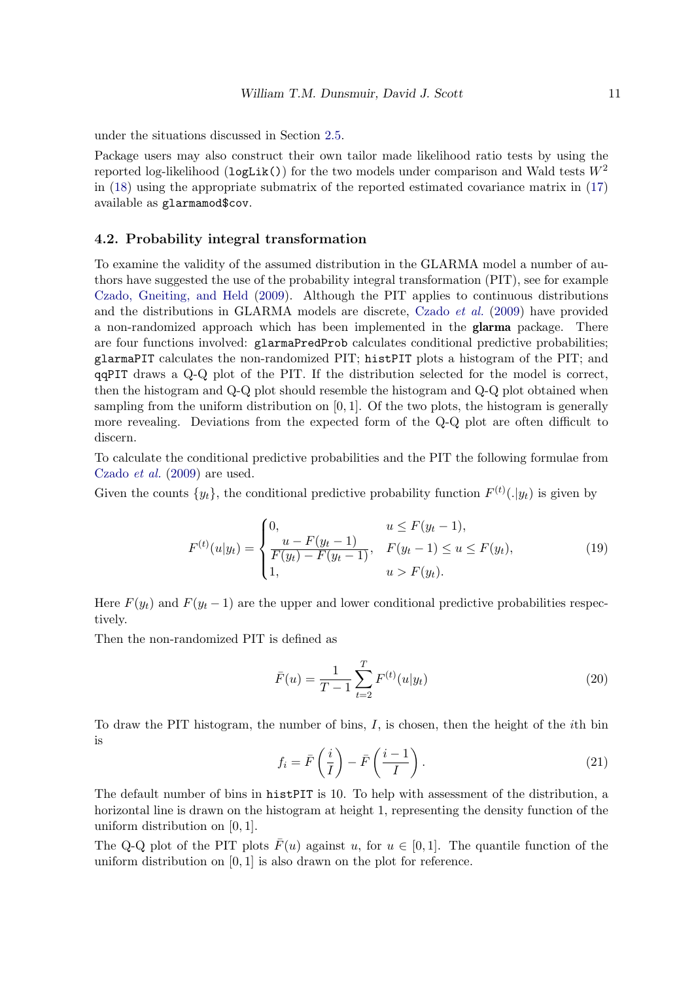under the situations discussed in Section [2.5.](#page-5-3)

Package users may also construct their own tailor made likelihood ratio tests by using the reported log-likelihood (logLik()) for the two models under comparison and Wald tests  $W^2$ in [\(18\)](#page-8-1) using the appropriate submatrix of the reported estimated covariance matrix in [\(17\)](#page-7-1) available as glarmamod\$cov.

## 4.2. Probability integral transformation

To examine the validity of the assumed distribution in the GLARMA model a number of authors have suggested the use of the probability integral transformation (PIT), see for example [Czado, Gneiting, and Held](#page-20-12) [\(2009\)](#page-20-12). Although the PIT applies to continuous distributions and the distributions in GLARMA models are discrete, [Czado](#page-20-12) et al. [\(2009\)](#page-20-12) have provided a non-randomized approach which has been implemented in the glarma package. There are four functions involved: glarmaPredProb calculates conditional predictive probabilities; glarmaPIT calculates the non-randomized PIT; histPIT plots a histogram of the PIT; and qqPIT draws a Q-Q plot of the PIT. If the distribution selected for the model is correct, then the histogram and Q-Q plot should resemble the histogram and Q-Q plot obtained when sampling from the uniform distribution on  $[0, 1]$ . Of the two plots, the histogram is generally more revealing. Deviations from the expected form of the Q-Q plot are often difficult to discern.

To calculate the conditional predictive probabilities and the PIT the following formulae from [Czado](#page-20-12) et al. [\(2009\)](#page-20-12) are used.

Given the counts  $\{y_t\}$ , the conditional predictive probability function  $F^{(t)}(.\vert y_t)$  is given by

$$
F^{(t)}(u|y_t) = \begin{cases} 0, & u \le F(y_t - 1), \\ \frac{u - F(y_t - 1)}{F(y_t) - F(y_t - 1)}, & F(y_t - 1) \le u \le F(y_t), \\ 1, & u > F(y_t). \end{cases}
$$
(19)

Here  $F(y_t)$  and  $F(y_t - 1)$  are the upper and lower conditional predictive probabilities respectively.

Then the non-randomized PIT is defined as

$$
\bar{F}(u) = \frac{1}{T - 1} \sum_{t=2}^{T} F^{(t)}(u|y_t)
$$
\n(20)

To draw the PIT histogram, the number of bins, I, is chosen, then the height of the ith bin is

$$
f_i = \bar{F}\left(\frac{i}{I}\right) - \bar{F}\left(\frac{i-1}{I}\right). \tag{21}
$$

The default number of bins in histPIT is 10. To help with assessment of the distribution, a horizontal line is drawn on the histogram at height 1, representing the density function of the uniform distribution on [0, 1].

The Q-Q plot of the PIT plots  $\bar{F}(u)$  against u, for  $u \in [0, 1]$ . The quantile function of the uniform distribution on  $[0, 1]$  is also drawn on the plot for reference.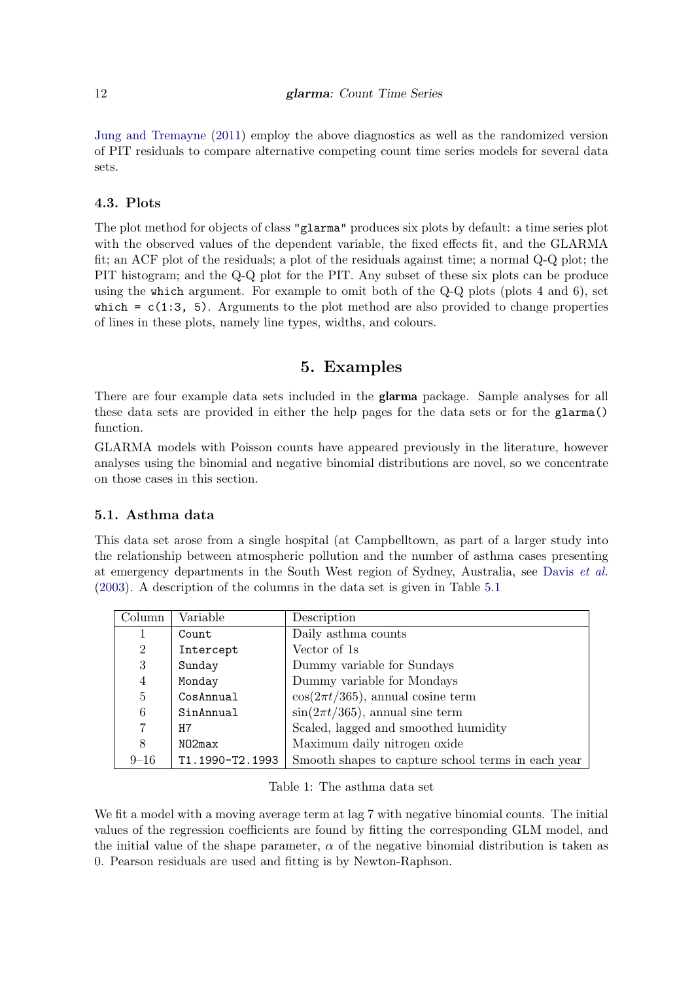[Jung and Tremayne](#page-20-13) [\(2011\)](#page-20-13) employ the above diagnostics as well as the randomized version of PIT residuals to compare alternative competing count time series models for several data sets.

# 4.3. Plots

The plot method for objects of class "glarma" produces six plots by default: a time series plot with the observed values of the dependent variable, the fixed effects fit, and the GLARMA fit; an ACF plot of the residuals; a plot of the residuals against time; a normal Q-Q plot; the PIT histogram; and the Q-Q plot for the PIT. Any subset of these six plots can be produce using the which argument. For example to omit both of the Q-Q plots (plots 4 and 6), set which  $= c(1:3, 5)$ . Arguments to the plot method are also provided to change properties of lines in these plots, namely line types, widths, and colours.

# 5. Examples

<span id="page-11-0"></span>There are four example data sets included in the glarma package. Sample analyses for all these data sets are provided in either the help pages for the data sets or for the glarma() function.

GLARMA models with Poisson counts have appeared previously in the literature, however analyses using the binomial and negative binomial distributions are novel, so we concentrate on those cases in this section.

# 5.1. Asthma data

This data set arose from a single hospital (at Campbelltown, as part of a larger study into the relationship between atmospheric pollution and the number of asthma cases presenting at emergency departments in the South West region of Sydney, Australia, see [Davis](#page-20-5) et al. [\(2003\)](#page-20-5). A description of the columns in the data set is given in Table [5.1](#page-11-1)

| Column         | Variable        | Description                                        |
|----------------|-----------------|----------------------------------------------------|
|                | Count           | Daily asthma counts                                |
| $\overline{2}$ | Intercept       | Vector of 1s                                       |
| 3              | Sunday          | Dummy variable for Sundays                         |
| 4              | Monday          | Dummy variable for Mondays                         |
| $\overline{5}$ | CosAnnual       | $\cos(2\pi t/365)$ , annual cosine term            |
| 6              | SinAnnual       | $\sin(2\pi t/365)$ , annual sine term              |
| $\overline{7}$ | H7              | Scaled, lagged and smoothed humidity               |
| 8              | NO2max          | Maximum daily nitrogen oxide                       |
| $9 - 16$       | T1.1990-T2.1993 | Smooth shapes to capture school terms in each year |

<span id="page-11-1"></span>Table 1: The asthma data set

We fit a model with a moving average term at lag 7 with negative binomial counts. The initial values of the regression coefficients are found by fitting the corresponding GLM model, and the initial value of the shape parameter,  $\alpha$  of the negative binomial distribution is taken as 0. Pearson residuals are used and fitting is by Newton-Raphson.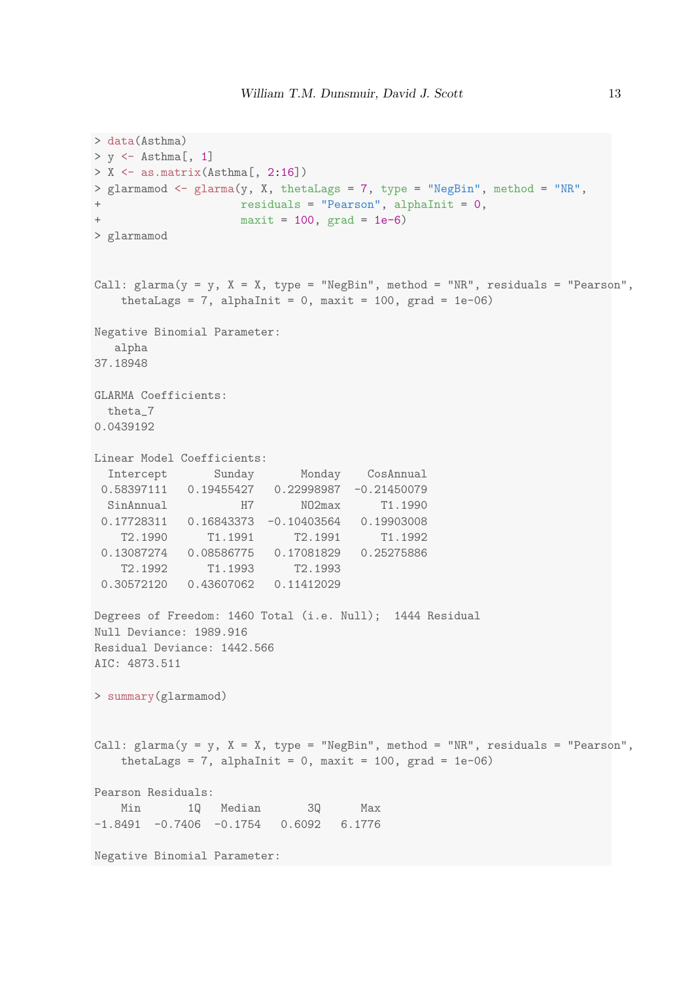```
> data(Asthma)
> y \le - Asthma[, 1]
> X \leftarrow as.matrix(Asthma[, 2:16])
> glarmamod <- glarma(y, X, thetaLags = 7, type = "NegBin", method = "NR",
+ residuals = "Pearson", alphaInit = 0,
+ maxit = 100, grad = 1e-6)
> glarmamod
Call: glarma(y = y, X = X, type = "NegBin", method = "NR", residuals = "Pearson",
   thetaLags = 7, alphaInit = 0, maxit = 100, grad = 1e-06)
Negative Binomial Parameter:
  alpha
37.18948
GLARMA Coefficients:
 theta_7
0.0439192
Linear Model Coefficients:
 Intercept Sunday Monday CosAnnual
 0.58397111 0.19455427 0.22998987 -0.21450079
 SinAnnual H7 NO2max T1.1990
 0.17728311 0.16843373 -0.10403564 0.19903008
   T2.1990 T1.1991 T2.1991 T1.1992
 0.13087274 0.08586775 0.17081829 0.25275886
   T2.1992 T1.1993 T2.1993
 0.30572120 0.43607062 0.11412029
Degrees of Freedom: 1460 Total (i.e. Null); 1444 Residual
Null Deviance: 1989.916
Residual Deviance: 1442.566
AIC: 4873.511
> summary(glarmamod)
Call: glarma(y = y, X = X, type = "NegBin", method = "NR", residuals = "Pearson",
   thetaLags = 7, alphaInit = 0, maxit = 100, grad = 1e-06)
Pearson Residuals:
   Min 1Q Median 3Q Max
-1.8491 -0.7406 -0.1754 0.6092 6.1776Negative Binomial Parameter:
```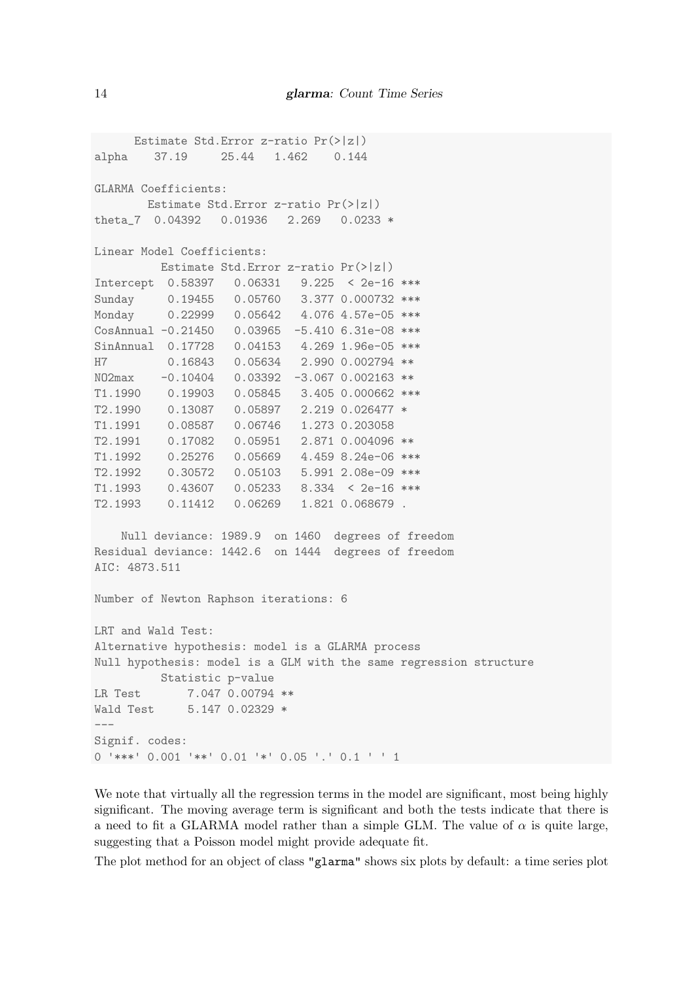```
Estimate Std.Error z-ratio Pr(>|z|)
alpha 37.19 25.44 1.462 0.144
GLARMA Coefficients:
       Estimate Std.Error z-ratio Pr(>|z|)
theta 7 0.04392 0.01936 2.269 0.0233 *
Linear Model Coefficients:
         Estimate Std.Error z-ratio Pr(>|z|)
Intercept 0.58397 0.06331 9.225 < 2e-16 ***
Sunday 0.19455 0.05760 3.377 0.000732 ***
Monday 0.22999 0.05642 4.076 4.57e-05 ***
CosAnnual -0.21450 0.03965 -5.410 6.31e-08 ***
SinAnnual 0.17728  0.04153  4.269  1.96e-05 ***
H7 0.16843 0.05634 2.990 0.002794 **
NO2max -0.10404 0.03392 -3.067 0.002163 **
T1.1990 0.19903 0.05845 3.405 0.000662 ***
T2.1990 0.13087 0.05897 2.219 0.026477 *
T1.1991 0.08587 0.06746 1.273 0.203058
T2.1991 0.17082 0.05951 2.871 0.004096 **
T1.1992 0.25276 0.05669 4.459 8.24e-06 ***
T2.1992 0.30572 0.05103 5.991 2.08e-09 ***
T1.1993 0.43607 0.05233 8.334 < 2e-16 ***
T2.1993 0.11412 0.06269 1.821 0.068679 .
   Null deviance: 1989.9 on 1460 degrees of freedom
Residual deviance: 1442.6 on 1444 degrees of freedom
AIC: 4873.511
Number of Newton Raphson iterations: 6
LRT and Wald Test:
Alternative hypothesis: model is a GLARMA process
Null hypothesis: model is a GLM with the same regression structure
         Statistic p-value
LR Test 7.047 0.00794 **
Wald Test 5.147 0.02329 *
---
Signif. codes:
0 '***' 0.001 '**' 0.01 '*' 0.05 '.' 0.1 ' ' 1
```
We note that virtually all the regression terms in the model are significant, most being highly significant. The moving average term is significant and both the tests indicate that there is a need to fit a GLARMA model rather than a simple GLM. The value of  $\alpha$  is quite large, suggesting that a Poisson model might provide adequate fit.

The plot method for an object of class "glarma" shows six plots by default: a time series plot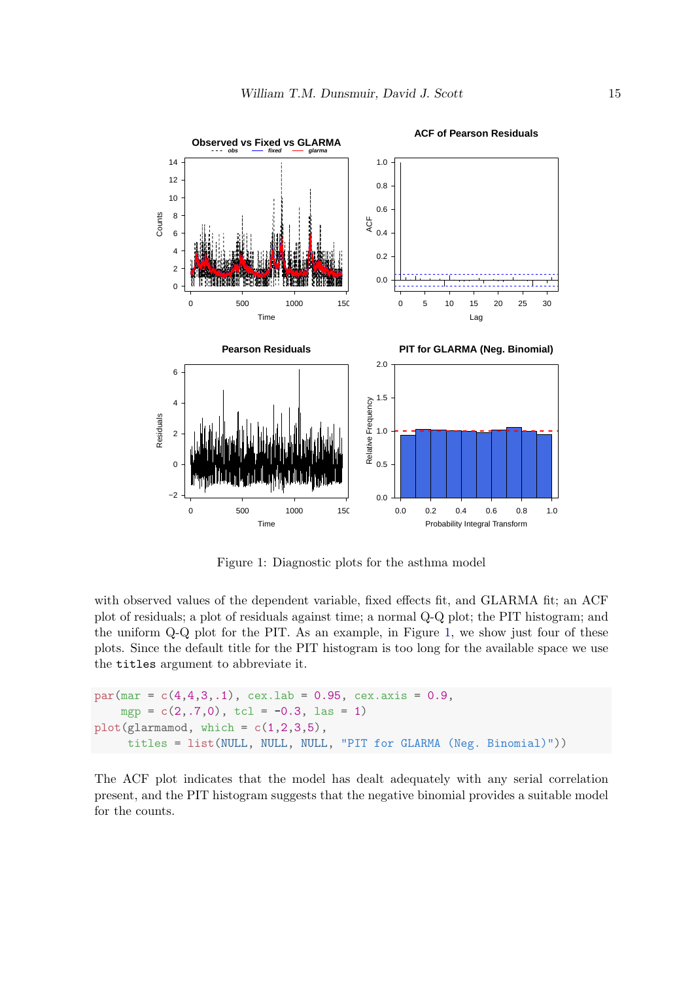

<span id="page-14-0"></span>Figure 1: Diagnostic plots for the asthma model

with observed values of the dependent variable, fixed effects fit, and GLARMA fit; an ACF plot of residuals; a plot of residuals against time; a normal Q-Q plot; the PIT histogram; and the uniform Q-Q plot for the PIT. As an example, in Figure [1,](#page-14-0) we show just four of these plots. Since the default title for the PIT histogram is too long for the available space we use the titles argument to abbreviate it.

```
par(max = c(4, 4, 3, .1), cex.1ab = 0.95, cex.axis = 0.9,mgp = c(2, .7, 0), tcl = -0.3, las = 1)
plot(glarmamod, which = c(1,2,3,5)),titles = list(NULL, NULL, NULL, "PIT for GLARMA (Neg. Binomial)"))
```
The ACF plot indicates that the model has dealt adequately with any serial correlation present, and the PIT histogram suggests that the negative binomial provides a suitable model for the counts.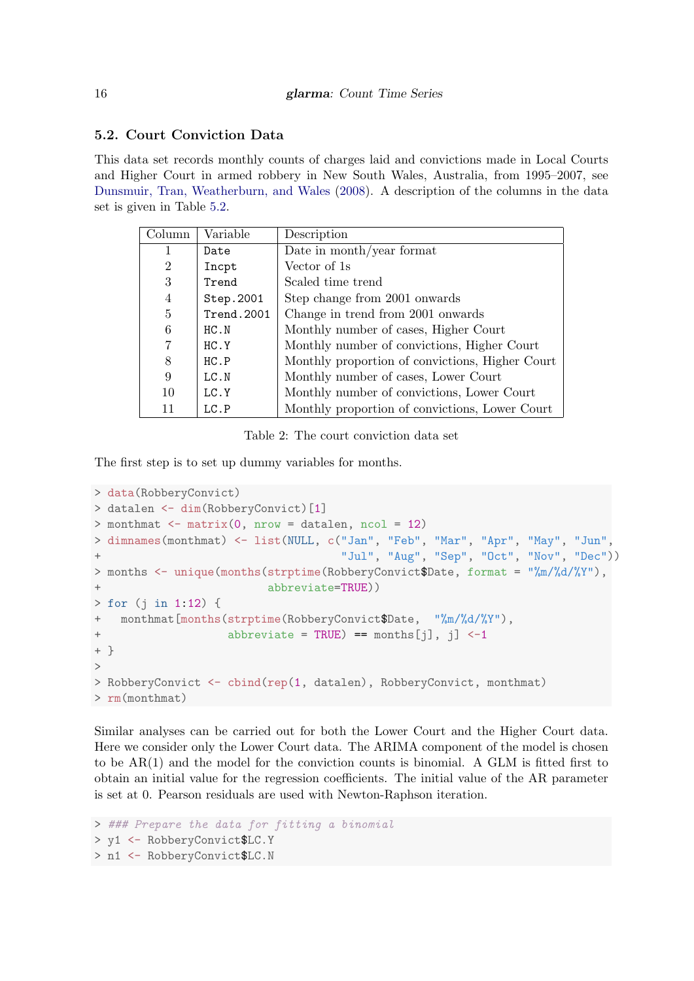# 5.2. Court Conviction Data

This data set records monthly counts of charges laid and convictions made in Local Courts and Higher Court in armed robbery in New South Wales, Australia, from 1995–2007, see [Dunsmuir, Tran, Weatherburn, and Wales](#page-20-14) [\(2008\)](#page-20-14). A description of the columns in the data set is given in Table [5.2.](#page-15-0)

| Column         | Variable   | Description                                     |
|----------------|------------|-------------------------------------------------|
| 1              | Date       | Date in month/year format                       |
| $\overline{2}$ | Incpt      | Vector of 1s                                    |
| 3              | Trend      | Scaled time trend                               |
| $\overline{4}$ | Step.2001  | Step change from 2001 onwards                   |
| 5              | Trend.2001 | Change in trend from 2001 onwards               |
| 6              | HC N       | Monthly number of cases, Higher Court           |
| 7              | HC. Y      | Monthly number of convictions, Higher Court     |
| 8              | HC.P       | Monthly proportion of convictions, Higher Court |
| 9              | LC.N       | Monthly number of cases, Lower Court            |
| 10             | LC.Y       | Monthly number of convictions, Lower Court      |
|                | LC.P       | Monthly proportion of convictions, Lower Court  |

<span id="page-15-0"></span>Table 2: The court conviction data set

The first step is to set up dummy variables for months.

```
> data(RobberyConvict)
> datalen <- dim(RobberyConvict)[1]
> monthmat \leq matrix(0, nrow = datalen, ncol = 12)
> dimnames(monthmat) <- list(NULL, c("Jan", "Feb", "Mar", "Apr", "May", "Jun",
+ "Jul", "Aug", "Sep", "Oct", "Nov", "Dec"))
> months <- unique(months(strptime(RobberyConvict$Date, format = "%m/%d/%Y"),
                        abbreviate=TRUE))
> for (j in 1:12) {
+ monthmat[months(strptime(RobberyConvict$Date, "%m/%d/%Y"),
+ abbreviate = TRUE) == months[j], j] <-1
+ }
>
> RobberyConvict <- cbind(rep(1, datalen), RobberyConvict, monthmat)
> rm(monthmat)
```
Similar analyses can be carried out for both the Lower Court and the Higher Court data. Here we consider only the Lower Court data. The ARIMA component of the model is chosen to be AR(1) and the model for the conviction counts is binomial. A GLM is fitted first to obtain an initial value for the regression coefficients. The initial value of the AR parameter is set at 0. Pearson residuals are used with Newton-Raphson iteration.

```
> ### Prepare the data for fitting a binomial
> y1 <- RobberyConvict$LC.Y
> n1 <- RobberyConvict$LC.N
```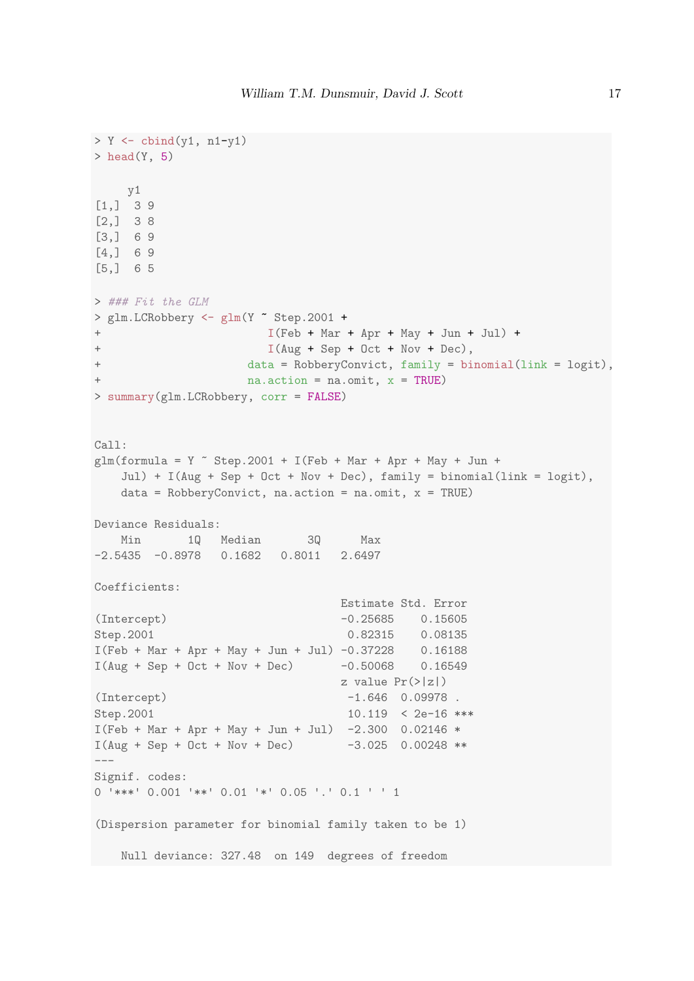```
> Y \leftarrow cbind(y1, n1-y1)
> head(Y, 5)
    y1
[1,] 3 9
[2,] 3 8
[3,] 6 9
[4,] 6 9
[5,] 6 5
> ### Fit the GLM
> glm.LCRobbery <- glm(Y ~ Step.2001 +
+ I(Feb + Mar + Apr + May + Jun + Jul) +
+ I(Aug + Sep + Oct + Nov + Dec),
+ data = RobberyConvict, family = binomial(link = logit),
+ na.action = na.omit, x = TRUE)
> summary(glm.LCRobbery, corr = FALSE)
Call:
glm(formula = Y ~ K Step. 2001 + I(Feb + Mar + Apr + May + Jun +
   Jul) + I(Aug + Sep + Oct + Nov + Dec), family = binomial(link = logit),
   data = RobberyConvict, na.action = na.omit, x = TRUE)
Deviance Residuals:
  Min 1Q Median 3Q Max
-2.5435 -0.8978 0.1682 0.8011 2.6497
Coefficients:
                              Estimate Std. Error
(Intercept) -0.25685 0.15605
Step.2001 0.82315 0.08135
I(Feb + Mar + Apr + May + Jun + Jul) -0.37228 0.16188I(Aug + Sep + Oct + Nov + Dec) -0.50068 0.16549
                              z value Pr(>|z|)(Intercept) -1.646 0.09978.
Step.2001 10.119 < 2e-16 ***
I(Feb + Mar + Apr + May + Jun + Jul) -2.300 0.02146 *
I(Aug + Sep + Oct + Nov + Dec) -3.025 0.00248 **
---Signif. codes:
0 '***' 0.001 '**' 0.01 '*' 0.05 '.' 0.1 ' ' 1
(Dispersion parameter for binomial family taken to be 1)
 Null deviance: 327.48 on 149 degrees of freedom
```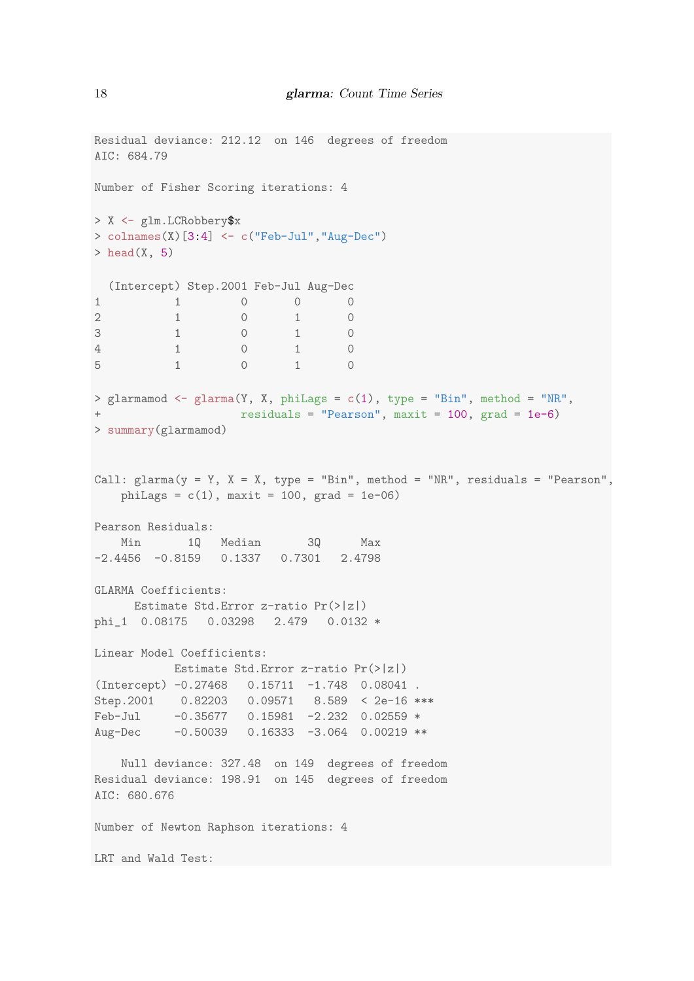```
Residual deviance: 212.12 on 146 degrees of freedom
AIC: 684.79
Number of Fisher Scoring iterations: 4
> X <- glm.LCRobbery$x
> colnames(X)[3:4] \leq c("Feb-Jul","Aug-Dec")
> head(X, 5)
(Intercept) Step.2001 Feb-Jul Aug-Dec
1 0 0 0
2 1 0 1 0
3 1 0 1 0
4 1 0 1 0
5 1 0 1 0
> glarmamod <- glarma(Y, X, phiLags = c(1), type = "Bin", method = "NR",
                  residuals = "Pearson", \text{ maxit} = 100, \text{ grad} = 1e-6)> summary(glarmamod)
Call: glarma(y = Y, X = X, type = "Bin", method = "NR", residuals = "Pearson",phiLags = c(1), maxit = 100, grad = 1e-06)
Pearson Residuals:
   Min 1Q Median 3Q Max
-2.4456 -0.8159 0.1337 0.7301 2.4798
GLARMA Coefficients:
    Estimate Std.Error z-ratio Pr(>|z|)
phi_1 0.08175 0.03298 2.479 0.0132 *
Linear Model Coefficients:
         Estimate Std.Error z-ratio Pr(>|z|)
(Intercept) -0.27468 0.15711 -1.748 0.08041 .
Step.2001 0.82203 0.09571 8.589 < 2e-16 ***
Feb-Jul -0.35677 0.15981 -2.232 0.02559 *
Aug-Dec -0.50039 0.16333 -3.064 0.00219 **
   Null deviance: 327.48 on 149 degrees of freedom
Residual deviance: 198.91 on 145 degrees of freedom
AIC: 680.676
Number of Newton Raphson iterations: 4
LRT and Wald Test:
```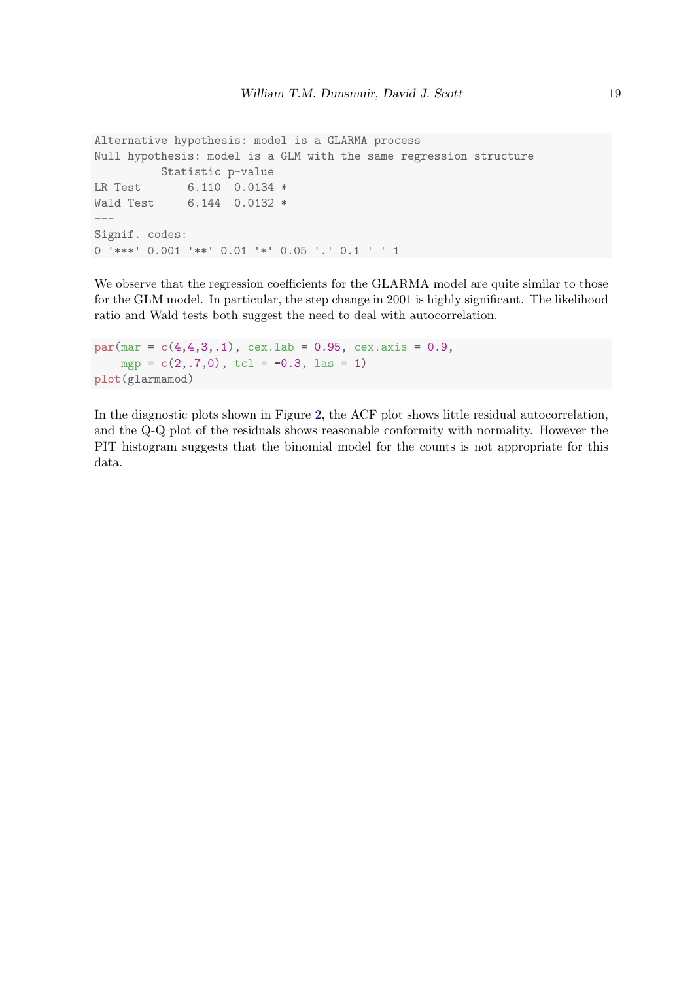```
Alternative hypothesis: model is a GLARMA process
Null hypothesis: model is a GLM with the same regression structure
         Statistic p-value
LR Test 6.110 0.0134 *
Wald Test 6.144 0.0132 *
---Signif. codes:
0 '***' 0.001 '**' 0.01 '*' 0.05 '.' 0.1 ' ' 1
```
We observe that the regression coefficients for the GLARMA model are quite similar to those for the GLM model. In particular, the step change in 2001 is highly significant. The likelihood ratio and Wald tests both suggest the need to deal with autocorrelation.

```
par(max = c(4, 4, 3, .1), cex.1ab = 0.95, cex.axis = 0.9,mgp = c(2, .7, 0), tcl = -0.3, las = 1)
plot(glarmamod)
```
In the diagnostic plots shown in Figure [2,](#page-19-0) the ACF plot shows little residual autocorrelation, and the Q-Q plot of the residuals shows reasonable conformity with normality. However the PIT histogram suggests that the binomial model for the counts is not appropriate for this data.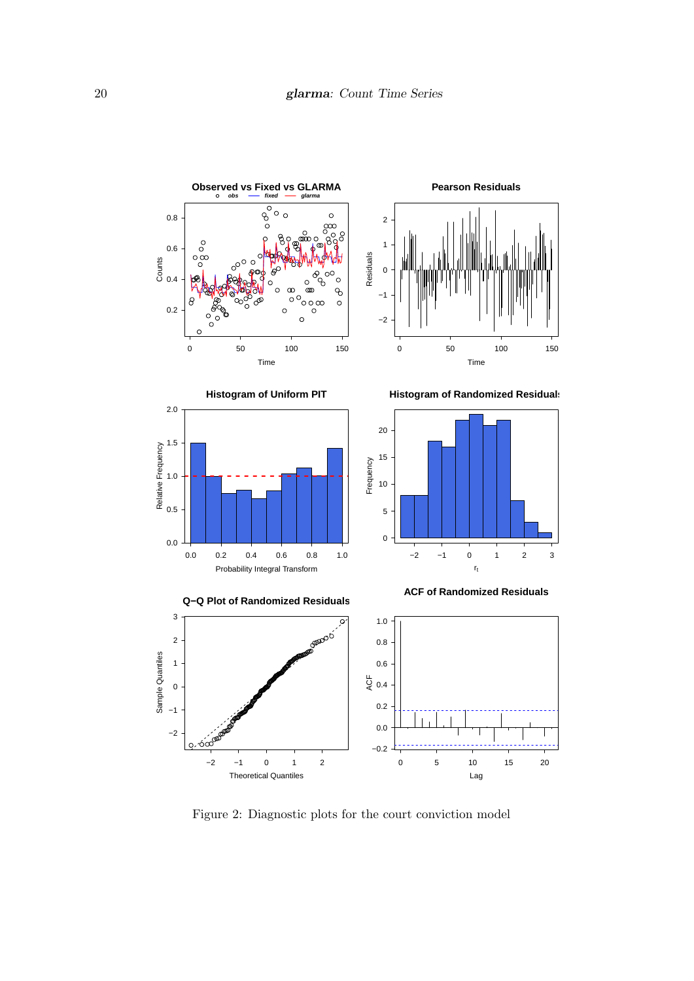

<span id="page-19-0"></span>Figure 2: Diagnostic plots for the court conviction model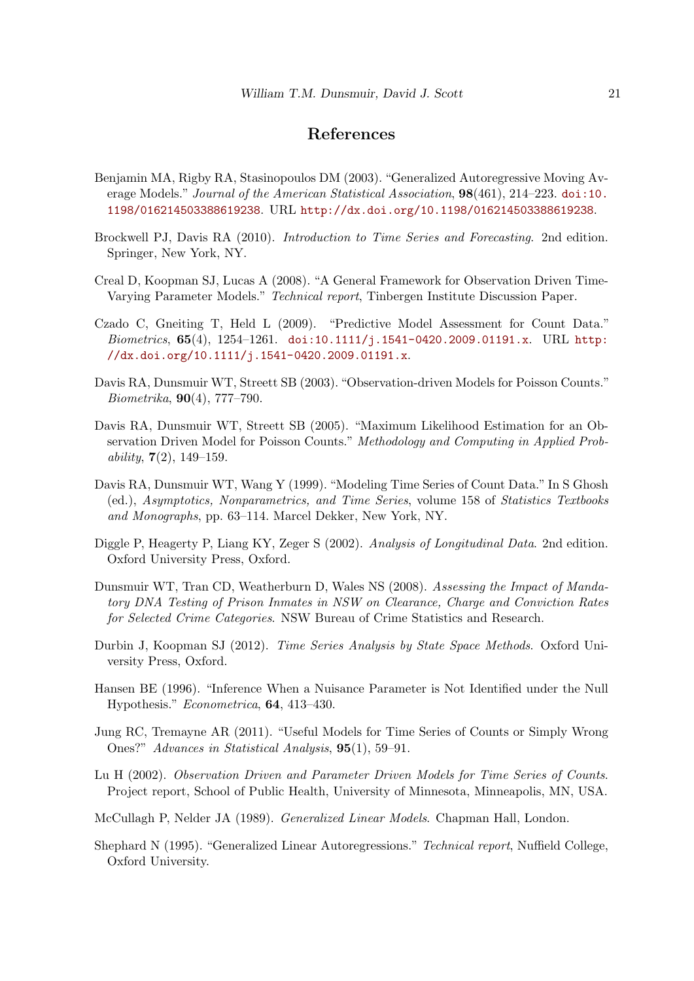# References

- <span id="page-20-4"></span>Benjamin MA, Rigby RA, Stasinopoulos DM (2003). "Generalized Autoregressive Moving Average Models." Journal of the American Statistical Association,  $98(461)$ ,  $214-223$ . [doi:10.](http://dx.doi.org/10.1198/016214503388619238) [1198/016214503388619238](http://dx.doi.org/10.1198/016214503388619238). URL <http://dx.doi.org/10.1198/016214503388619238>.
- <span id="page-20-1"></span>Brockwell PJ, Davis RA (2010). Introduction to Time Series and Forecasting. 2nd edition. Springer, New York, NY.
- <span id="page-20-7"></span>Creal D, Koopman SJ, Lucas A (2008). "A General Framework for Observation Driven Time-Varying Parameter Models." Technical report, Tinbergen Institute Discussion Paper.
- <span id="page-20-12"></span>Czado C, Gneiting T, Held L (2009). "Predictive Model Assessment for Count Data." Biometrics,  $65(4)$ ,  $1254-1261$ . [doi:10.1111/j.1541-0420.2009.01191.x](http://dx.doi.org/10.1111/j.1541-0420.2009.01191.x). URL [http:](http://dx.doi.org/10.1111/j.1541-0420.2009.01191.x) [//dx.doi.org/10.1111/j.1541-0420.2009.01191.x](http://dx.doi.org/10.1111/j.1541-0420.2009.01191.x).
- <span id="page-20-5"></span>Davis RA, Dunsmuir WT, Streett SB (2003). "Observation-driven Models for Poisson Counts." Biometrika, 90(4), 777–790.
- <span id="page-20-8"></span>Davis RA, Dunsmuir WT, Streett SB (2005). "Maximum Likelihood Estimation for an Observation Driven Model for Poisson Counts." Methodology and Computing in Applied Probability,  $7(2)$ ,  $149-159$ .
- <span id="page-20-0"></span>Davis RA, Dunsmuir WT, Wang Y (1999). "Modeling Time Series of Count Data." In S Ghosh (ed.), Asymptotics, Nonparametrics, and Time Series, volume 158 of Statistics Textbooks and Monographs, pp. 63–114. Marcel Dekker, New York, NY.
- <span id="page-20-11"></span>Diggle P, Heagerty P, Liang KY, Zeger S (2002). Analysis of Longitudinal Data. 2nd edition. Oxford University Press, Oxford.
- <span id="page-20-14"></span>Dunsmuir WT, Tran CD, Weatherburn D, Wales NS (2008). Assessing the Impact of Mandatory DNA Testing of Prison Inmates in NSW on Clearance, Charge and Conviction Rates for Selected Crime Categories. NSW Bureau of Crime Statistics and Research.
- <span id="page-20-2"></span>Durbin J, Koopman SJ (2012). Time Series Analysis by State Space Methods. Oxford University Press, Oxford.
- <span id="page-20-10"></span>Hansen BE (1996). "Inference When a Nuisance Parameter is Not Identified under the Null Hypothesis." Econometrica, 64, 413–430.
- <span id="page-20-13"></span>Jung RC, Tremayne AR (2011). "Useful Models for Time Series of Counts or Simply Wrong Ones?" Advances in Statistical Analysis, 95(1), 59–91.
- <span id="page-20-9"></span>Lu H (2002). Observation Driven and Parameter Driven Models for Time Series of Counts. Project report, School of Public Health, University of Minnesota, Minneapolis, MN, USA.
- <span id="page-20-3"></span>McCullagh P, Nelder JA (1989). Generalized Linear Models. Chapman Hall, London.
- <span id="page-20-6"></span>Shephard N (1995). "Generalized Linear Autoregressions." Technical report, Nuffield College, Oxford University.